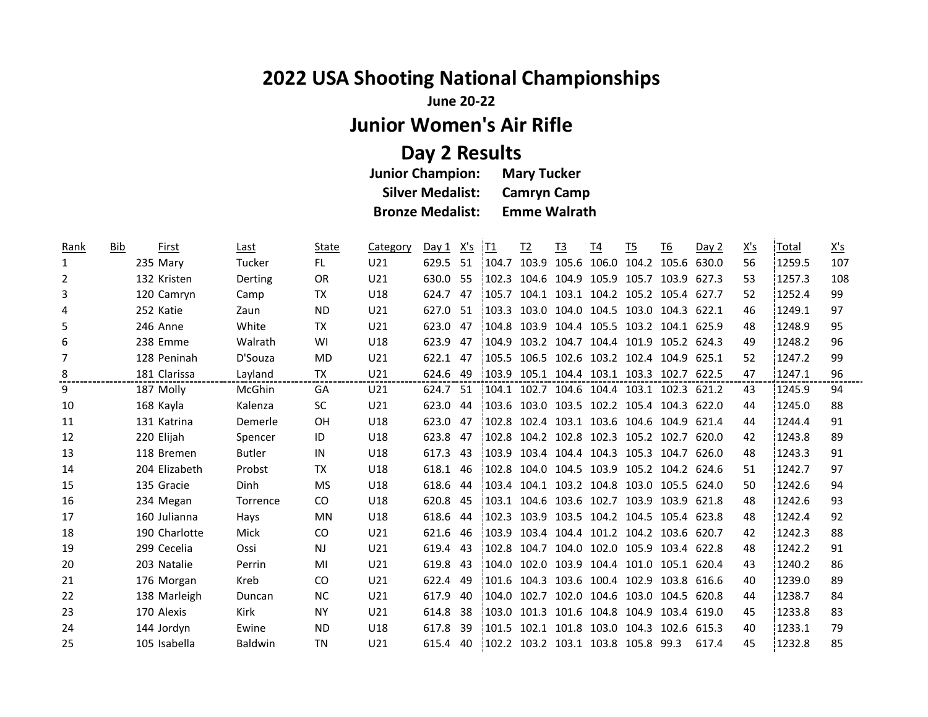## **2022 USA Shooting National Championships**

**June 20-22**

**Junior Women's Air Rifle**

## **Day 2 Results**

| <b>Junior Champion:</b> | <b>Mary Tucker</b>  |
|-------------------------|---------------------|
| <b>Silver Medalist:</b> | <b>Camryn Camp</b>  |
| <b>Bronze Medalist:</b> | <b>Emme Walrath</b> |

| Rank | Bib | First         | Last           | State     | Category        | Day 1 | X's | ¦T1    | $12$  | <u>T3</u> | <u>T4</u>         | T5                                        | <u>T6</u>   | Day 2 | <u>X's</u> | <b>Total</b> | $\underline{X's}$ |
|------|-----|---------------|----------------|-----------|-----------------|-------|-----|--------|-------|-----------|-------------------|-------------------------------------------|-------------|-------|------------|--------------|-------------------|
| 1    |     | 235 Mary      | Tucker         | FL.       | U21             | 629.5 | 51  | 104.7  |       |           |                   | 103.9 105.6 106.0 104.2 105.6             |             | 630.0 | 56         | 1259.5       | 107               |
| 2    |     | 132 Kristen   | Derting        | <b>OR</b> | U21             | 630.0 | 55  | 1102.3 |       |           |                   | 104.6 104.9 105.9 105.7 103.9             |             | 627.3 | 53         | 1257.3       | 108               |
| 3    |     | 120 Camryn    | Camp           | TX        | U18             | 624.7 | 47  | 105.7  | 104.1 |           |                   | 103.1 104.2 105.2 105.4 627.7             |             |       | 52         | 1252.4       | 99                |
| 4    |     | 252 Katie     | Zaun           | <b>ND</b> | U21             | 627.0 | 51  | 103.3  |       |           |                   | 103.0 104.0 104.5 103.0 104.3 622.1       |             |       | 46         | 1249.1       | 97                |
| 5    |     | 246 Anne      | White          | TX        | U21             | 623.0 | 47  | 104.8  |       |           |                   | 103.9 104.4 105.5 103.2 104.1 625.9       |             |       | 48         | 1248.9       | 95                |
| 6    |     | 238 Emme      | Walrath        | WI        | U18             | 623.9 | 47  | 104.9  |       |           |                   | 103.2 104.7 104.4 101.9 105.2 624.3       |             |       | 49         | 1248.2       | 96                |
| 7    |     | 128 Peninah   | D'Souza        | MD        | U21             | 622.1 | 47  |        |       |           |                   | 105.5 106.5 102.6 103.2 102.4 104.9 625.1 |             |       | 52         | 1247.2       | 99                |
| 8    |     | 181 Clarissa  | Layland        | TX        | U21             | 624.6 | 49  | 1103.9 |       |           |                   | 105.1 104.4 103.1 103.3 102.7 622.5       |             |       | 47         | 1247.1       | 96                |
| 9    |     | 187 Molly     | McGhin         | GA        | U21             | 624.7 | -51 |        |       |           |                   | 104.1 102.7 104.6 104.4 103.1 102.3 621.2 |             |       | 43         | 1245.9       | 94                |
| 10   |     | 168 Kayla     | Kalenza        | <b>SC</b> | U21             | 623.0 | 44  |        |       |           |                   | 103.6 103.0 103.5 102.2 105.4 104.3 622.0 |             |       | 44         | 1245.0       | 88                |
| 11   |     | 131 Katrina   | Demerle        | <b>OH</b> | U18             | 623.0 | 47  | 102.8  |       |           |                   | 102.4 103.1 103.6 104.6 104.9             |             | 621.4 | 44         | 1244.4       | 91                |
| 12   |     | 220 Elijah    | Spencer        | ID        | U18             | 623.8 | 47  | 102.8  |       |           |                   | 104.2 102.8 102.3 105.2 102.7             |             | 620.0 | 42         | 1243.8       | 89                |
| 13   |     | 118 Bremen    | <b>Butler</b>  | IN        | U18             | 617.3 | 43  | 103.9  |       |           |                   | 103.4 104.4 104.3 105.3 104.7             |             | 626.0 | 48         | 1243.3       | 91                |
| 14   |     | 204 Elizabeth | Probst         | <b>TX</b> | U18             | 618.1 | 46  | 102.8  |       |           |                   | 104.0 104.5 103.9 105.2 104.2 624.6       |             |       | 51         | 1242.7       | 97                |
| 15   |     | 135 Gracie    | Dinh           | <b>MS</b> | U18             | 618.6 | 44  |        |       |           |                   | 103.4 104.1 103.2 104.8 103.0 105.5 624.0 |             |       | 50         | 1242.6       | 94                |
| 16   |     | 234 Megan     | Torrence       | CO.       | U18             | 620.8 | 45  |        |       |           |                   | 103.1 104.6 103.6 102.7 103.9 103.9 621.8 |             |       | 48         | 1242.6       | 93                |
| 17   |     | 160 Julianna  | Hays           | MN        | U18             | 618.6 | 44  | 102.3  |       |           |                   | 103.9 103.5 104.2 104.5 105.4 623.8       |             |       | 48         | 1242.4       | 92                |
| 18   |     | 190 Charlotte | Mick           | CO.       | U21             | 621.6 | 46  | 103.9  |       |           |                   | 103.4 104.4 101.2 104.2 103.6 620.7       |             |       | 42         | 1242.3       | 88                |
| 19   |     | 299 Cecelia   | Ossi           | <b>NJ</b> | U21             | 619.4 | 43  | 102.8  | 104.7 |           |                   | 104.0 102.0 105.9 103.4 622.8             |             |       | 48         | 1242.2       | 91                |
| 20   |     | 203 Natalie   | Perrin         | MI        | U21             | 619.8 | 43  | 104.0  |       |           |                   | 102.0 103.9 104.4 101.0 105.1 620.4       |             |       | 43         | 1240.2       | 86                |
| 21   |     | 176 Morgan    | Kreb           | <b>CO</b> | U21             | 622.4 | 49  | 101.6  | 104.3 |           |                   | 103.6 100.4 102.9 103.8 616.6             |             |       | 40         | 1239.0       | 89                |
| 22   |     | 138 Marleigh  | Duncan         | <b>NC</b> | U21             | 617.9 | 40  | 104.0  | 102.7 |           |                   | 102.0 104.6 103.0 104.5 620.8             |             |       | 44         | 1238.7       | 84                |
| 23   |     | 170 Alexis    | Kirk           | <b>NY</b> | U21             | 614.8 | 38  | :103.0 | 101.3 |           | 101.6 104.8 104.9 |                                           | 103.4 619.0 |       | 45         | 1233.8       | 83                |
| 24   |     | 144 Jordyn    | Ewine          | ND.       | U <sub>18</sub> | 617.8 | 39  | 101.5  |       |           |                   | 102.1 101.8 103.0 104.3                   | 102.6 615.3 |       | 40         | 1233.1       | 79                |
| 25   |     | 105 Isabella  | <b>Baldwin</b> | <b>TN</b> | U21             | 615.4 | 40  |        |       |           |                   | 102.2 103.2 103.1 103.8 105.8 99.3        |             | 617.4 | 45         | 1232.8       | 85                |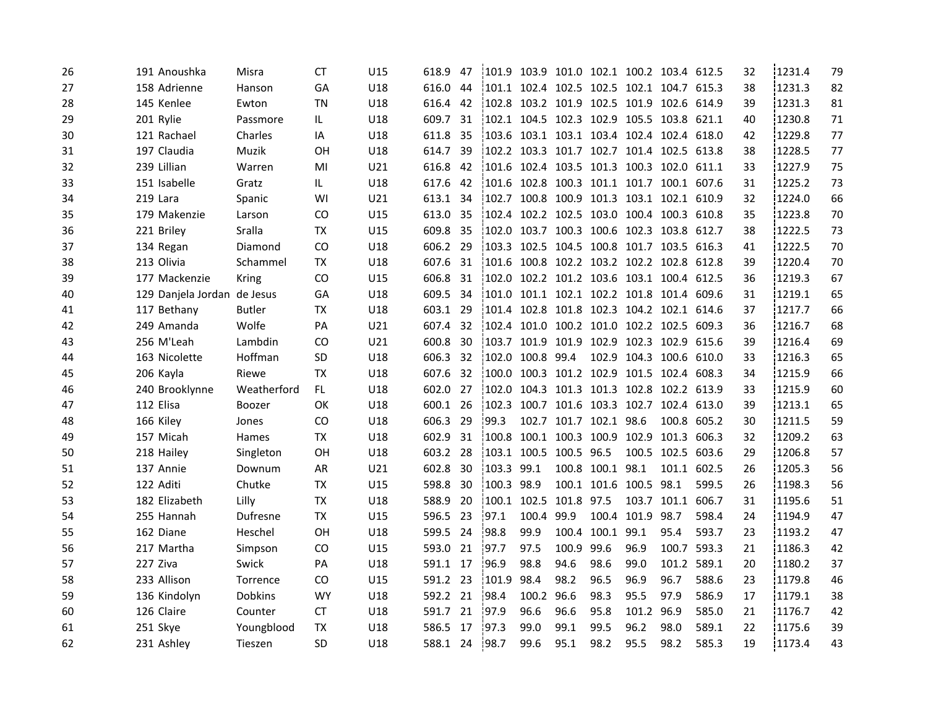| 26 | 191 Anoushka                | Misra          | <b>CT</b> | U15 | 618.9    | 47   | 101.9 103.9 101.0 102.1 100.2 103.4 612.5 |                  |                        |                        |                  |                                           |             | 32 | 1231.4 | 79 |
|----|-----------------------------|----------------|-----------|-----|----------|------|-------------------------------------------|------------------|------------------------|------------------------|------------------|-------------------------------------------|-------------|----|--------|----|
| 27 | 158 Adrienne                | Hanson         | GA        | U18 | 616.0    | 44   | 101.1 102.4 102.5 102.5 102.1 104.7 615.3 |                  |                        |                        |                  |                                           |             | 38 | 1231.3 | 82 |
| 28 | 145 Kenlee                  | Ewton          | ΤN        | U18 | 616.4    | 42   | 102.8 103.2 101.9 102.5 101.9 102.6 614.9 |                  |                        |                        |                  |                                           |             | 39 | 1231.3 | 81 |
| 29 | 201 Rylie                   | Passmore       | IL.       | U18 | 609.7    | 31   | 102.1 104.5 102.3 102.9 105.5 103.8 621.1 |                  |                        |                        |                  |                                           |             | 40 | 1230.8 | 71 |
| 30 | 121 Rachael                 | Charles        | IA        | U18 | 611.8    | -35  | 103.6 103.1 103.1 103.4 102.4 102.4 618.0 |                  |                        |                        |                  |                                           |             | 42 | 1229.8 | 77 |
| 31 | 197 Claudia                 | Muzik          | OН        | U18 | 614.7    | 39   | 102.2 103.3 101.7 102.7 101.4 102.5 613.8 |                  |                        |                        |                  |                                           |             | 38 | 1228.5 | 77 |
| 32 | 239 Lillian                 | Warren         | MI        | U21 | 616.8    | - 42 | 101.6 102.4 103.5 101.3 100.3 102.0 611.1 |                  |                        |                        |                  |                                           |             | 33 | 1227.9 | 75 |
| 33 | 151 Isabelle                | Gratz          | IL.       | U18 | 617.6    | 42   | 101.6 102.8 100.3 101.1 101.7 100.1 607.6 |                  |                        |                        |                  |                                           |             | 31 | 1225.2 | 73 |
| 34 | 219 Lara                    | Spanic         | WI        | U21 | 613.1    | 34   |                                           |                  |                        |                        |                  | 102.7 100.8 100.9 101.3 103.1 102.1 610.9 |             | 32 | 1224.0 | 66 |
| 35 | 179 Makenzie                | Larson         | CO        | U15 | 613.0    | -35  | 102.4 102.2 102.5 103.0 100.4 100.3 610.8 |                  |                        |                        |                  |                                           |             | 35 | 1223.8 | 70 |
| 36 | 221 Briley                  | Sralla         | TX        | U15 | 609.8    | 35   |                                           |                  |                        |                        |                  | 102.0 103.7 100.3 100.6 102.3 103.8       | 612.7       | 38 | 1222.5 | 73 |
| 37 | 134 Regan                   | Diamond        | CO        | U18 | 606.2 29 |      | 103.3 102.5 104.5 100.8 101.7 103.5 616.3 |                  |                        |                        |                  |                                           |             | 41 | 1222.5 | 70 |
| 38 | 213 Olivia                  | Schammel       | <b>TX</b> | U18 | 607.6    | 31   |                                           |                  |                        |                        |                  | 101.6 100.8 102.2 103.2 102.2 102.8 612.8 |             | 39 | 1220.4 | 70 |
| 39 | 177 Mackenzie               | Kring          | CO        | U15 | 606.8    | 31   |                                           |                  |                        |                        |                  | 102.0 102.2 101.2 103.6 103.1 100.4 612.5 |             | 36 | 1219.3 | 67 |
| 40 | 129 Danjela Jordan de Jesus |                | GA        | U18 | 609.5    | 34   |                                           |                  |                        |                        |                  | 101.0 101.1 102.1 102.2 101.8 101.4       | 609.6       | 31 | 1219.1 | 65 |
| 41 | 117 Bethany                 | <b>Butler</b>  | TX        | U18 | 603.1 29 |      |                                           |                  |                        |                        |                  | 101.4 102.8 101.8 102.3 104.2 102.1 614.6 |             | 37 | 1217.7 | 66 |
| 42 | 249 Amanda                  | Wolfe          | PA        | U21 | 607.4    | 32   |                                           |                  |                        |                        |                  | 102.4 101.0 100.2 101.0 102.2 102.5       | 609.3       | 36 | 1216.7 | 68 |
| 43 | 256 M'Leah                  | Lambdin        | CO.       | U21 | 600.8    | -30  |                                           |                  | 103.7 101.9 101.9      | 102.9 102.3 102.9      |                  |                                           | 615.6       | 39 | 1216.4 | 69 |
| 44 | 163 Nicolette               | Hoffman        | <b>SD</b> | U18 | 606.3 32 |      |                                           | 102.0 100.8 99.4 |                        |                        |                  | 102.9 104.3 100.6 610.0                   |             | 33 | 1216.3 | 65 |
| 45 | 206 Kayla                   | Riewe          | TX        | U18 | 607.6    | - 32 |                                           |                  |                        |                        |                  | 100.0 100.3 101.2 102.9 101.5 102.4 608.3 |             | 34 | 1215.9 | 66 |
| 46 | 240 Brooklynne              | Weatherford    | FL.       | U18 | 602.0 27 |      |                                           |                  |                        |                        |                  | 102.0 104.3 101.3 101.3 102.8 102.2 613.9 |             | 33 | 1215.9 | 60 |
| 47 | 112 Elisa                   | Boozer         | OK        | U18 | 600.1 26 |      | 102.3                                     |                  |                        |                        |                  | 100.7 101.6 103.3 102.7 102.4 613.0       |             | 39 | 1213.1 | 65 |
| 48 | 166 Kiley                   | Jones          | CO.       | U18 | 606.3 29 |      | 99.3                                      |                  |                        | 102.7 101.7 102.1 98.6 |                  |                                           | 100.8 605.2 | 30 | 1211.5 | 59 |
| 49 | 157 Micah                   | Hames          | TX        | U18 | 602.9    | - 31 | 100.8                                     |                  |                        |                        |                  | 100.1 100.3 100.9 102.9 101.3 606.3       |             | 32 | 1209.2 | 63 |
| 50 | 218 Hailey                  | Singleton      | OН        | U18 | 603.2    | 28   |                                           |                  | 103.1 100.5 100.5 96.5 |                        |                  | 100.5 102.5 603.6                         |             | 29 | 1206.8 | 57 |
| 51 | 137 Annie                   | Downum         | AR        | U21 | 602.8    | 30   | 103.3 99.1                                |                  |                        | 100.8 100.1 98.1       |                  |                                           | 101.1 602.5 | 26 | 1205.3 | 56 |
| 52 | 122 Aditi                   | Chutke         | <b>TX</b> | U15 | 598.8    | 30   | 100.3 98.9                                |                  |                        | 100.1 101.6            | 100.5 98.1       |                                           | 599.5       | 26 | 1198.3 | 56 |
| 53 | 182 Elizabeth               | Lilly          | TX        | U18 | 588.9    | - 20 | 100.1                                     |                  | 102.5 101.8 97.5       |                        |                  | 103.7 101.1                               | 606.7       | 31 | 1195.6 | 51 |
| 54 | 255 Hannah                  | Dufresne       | ТX        | U15 | 596.5    | - 23 | 97.1                                      | 100.4 99.9       |                        |                        | 100.4 101.9 98.7 |                                           | 598.4       | 24 | 1194.9 | 47 |
| 55 | 162 Diane                   | Heschel        | <b>OH</b> | U18 | 599.5    | -24  | 98.8                                      | 99.9             | 100.4                  | 100.1                  | 99.1             | 95.4                                      | 593.7       | 23 | 1193.2 | 47 |
| 56 | 217 Martha                  | Simpson        | CO.       | U15 | 593.0    | 21   | 97.7                                      | 97.5             | 100.9                  | 99.6                   | 96.9             | 100.7                                     | 593.3       | 21 | 1186.3 | 42 |
| 57 | 227 Ziva                    | Swick          | PA        | U18 | 591.1 17 |      | 96.9                                      | 98.8             | 94.6                   | 98.6                   | 99.0             | 101.2                                     | 589.1       | 20 | 1180.2 | 37 |
| 58 | 233 Allison                 | Torrence       | CO.       | U15 | 591.2 23 |      | 101.9                                     | 98.4             | 98.2                   | 96.5                   | 96.9             | 96.7                                      | 588.6       | 23 | 1179.8 | 46 |
| 59 | 136 Kindolyn                | <b>Dobkins</b> | <b>WY</b> | U18 | 592.2 21 |      | 98.4                                      | 100.2 96.6       |                        | 98.3                   | 95.5             | 97.9                                      | 586.9       | 17 | 1179.1 | 38 |
| 60 | 126 Claire                  | Counter        | <b>CT</b> | U18 | 591.7 21 |      | 97.9                                      | 96.6             | 96.6                   | 95.8                   | 101.2 96.9       |                                           | 585.0       | 21 | 1176.7 | 42 |
| 61 | 251 Skye                    | Youngblood     | ТX        | U18 | 586.5    | 17   | 197.3                                     | 99.0             | 99.1                   | 99.5                   | 96.2             | 98.0                                      | 589.1       | 22 | 1175.6 | 39 |
| 62 | 231 Ashley                  | Tieszen        | SD        | U18 | 588.1 24 |      | 98.7                                      | 99.6             | 95.1                   | 98.2                   | 95.5             | 98.2                                      | 585.3       | 19 | 1173.4 | 43 |
|    |                             |                |           |     |          |      |                                           |                  |                        |                        |                  |                                           |             |    |        |    |